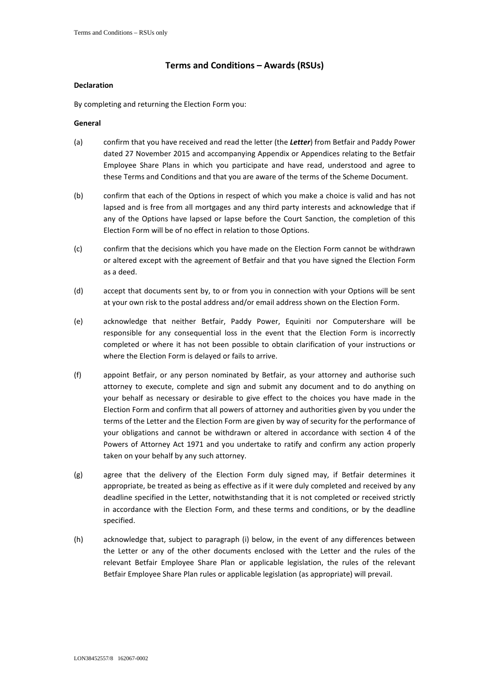# **Terms and Conditions – Awards (RSUs)**

## **Declaration**

By completing and returning the Election Form you:

## **General**

- (a) confirm that you have received and read the letter (the *Letter*) from Betfair and Paddy Power dated 27 November 2015 and accompanying Appendix or Appendices relating to the Betfair Employee Share Plans in which you participate and have read, understood and agree to these Terms and Conditions and that you are aware of the terms of the Scheme Document.
- (b) confirm that each of the Options in respect of which you make a choice is valid and has not lapsed and is free from all mortgages and any third party interests and acknowledge that if any of the Options have lapsed or lapse before the Court Sanction, the completion of this Election Form will be of no effect in relation to those Options.
- (c) confirm that the decisions which you have made on the Election Form cannot be withdrawn or altered except with the agreement of Betfair and that you have signed the Election Form as a deed.
- (d) accept that documents sent by, to or from you in connection with your Options will be sent at your own risk to the postal address and/or email address shown on the Election Form.
- (e) acknowledge that neither Betfair, Paddy Power, Equiniti nor Computershare will be responsible for any consequential loss in the event that the Election Form is incorrectly completed or where it has not been possible to obtain clarification of your instructions or where the Election Form is delayed or fails to arrive.
- (f) appoint Betfair, or any person nominated by Betfair, as your attorney and authorise such attorney to execute, complete and sign and submit any document and to do anything on your behalf as necessary or desirable to give effect to the choices you have made in the Election Form and confirm that all powers of attorney and authorities given by you under the terms of the Letter and the Election Form are given by way of security for the performance of your obligations and cannot be withdrawn or altered in accordance with section 4 of the Powers of Attorney Act 1971 and you undertake to ratify and confirm any action properly taken on your behalf by any such attorney.
- (g) agree that the delivery of the Election Form duly signed may, if Betfair determines it appropriate, be treated as being as effective as if it were duly completed and received by any deadline specified in the Letter, notwithstanding that it is not completed or received strictly in accordance with the Election Form, and these terms and conditions, or by the deadline specified.
- (h) acknowledge that, subject to paragraph [\(i\)](#page-1-0) below, in the event of any differences between the Letter or any of the other documents enclosed with the Letter and the rules of the relevant Betfair Employee Share Plan or applicable legislation, the rules of the relevant Betfair Employee Share Plan rules or applicable legislation (as appropriate) will prevail.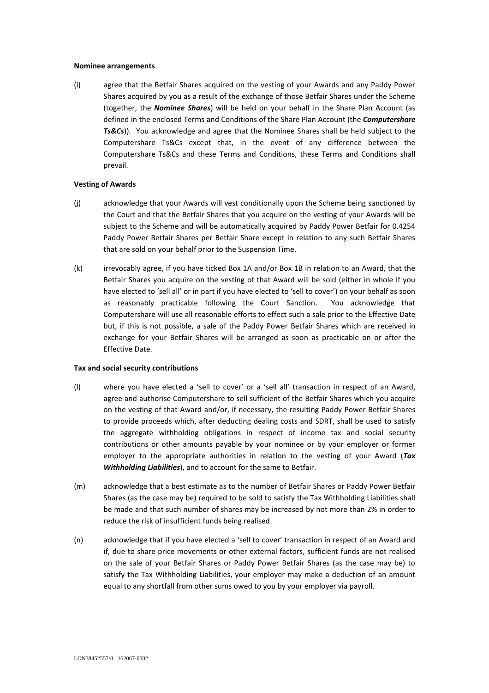#### **Nominee arrangements**

<span id="page-1-0"></span>(i) agree that the Betfair Shares acquired on the vesting of your Awards and any Paddy Power Shares acquired by you as a result of the exchange of those Betfair Shares under the Scheme (together, the *Nominee Shares*) will be held on your behalf in the Share Plan Account (as defined in the enclosed Terms and Conditions of the Share Plan Account (the *Computershare Ts&Cs*)). You acknowledge and agree that the Nominee Shares shall be held subject to the Computershare Ts&Cs except that, in the event of any difference between the Computershare Ts&Cs and these Terms and Conditions, these Terms and Conditions shall prevail.

#### **Vesting of Awards**

- (j) acknowledge that your Awards will vest conditionally upon the Scheme being sanctioned by the Court and that the Betfair Shares that you acquire on the vesting of your Awards will be subject to the Scheme and will be automatically acquired by Paddy Power Betfair for 0.4254 Paddy Power Betfair Shares per Betfair Share except in relation to any such Betfair Shares that are sold on your behalf prior to the Suspension Time.
- (k) irrevocably agree, if you have ticked Box 1A and/or Box 1B in relation to an Award, that the Betfair Shares you acquire on the vesting of that Award will be sold (either in whole if you have elected to 'sell all' or in part if you have elected to 'sell to cover') on your behalf as soon as reasonably practicable following the Court Sanction. You acknowledge that Computershare will use all reasonable efforts to effect such a sale prior to the Effective Date but, if this is not possible, a sale of the Paddy Power Betfair Shares which are received in exchange for your Betfair Shares will be arranged as soon as practicable on or after the Effective Date.

#### **Tax and social security contributions**

- <span id="page-1-1"></span>(l) where you have elected a 'sell to cover' or a 'sell all' transaction in respect of an Award, agree and authorise Computershare to sell sufficient of the Betfair Shares which you acquire on the vesting of that Award and/or, if necessary, the resulting Paddy Power Betfair Shares to provide proceeds which, after deducting dealing costs and SDRT, shall be used to satisfy the aggregate withholding obligations in respect of income tax and social security contributions or other amounts payable by your nominee or by your employer or former employer to the appropriate authorities in relation to the vesting of your Award (*Tax Withholding Liabilities*), and to account for the same to Betfair.
- <span id="page-1-2"></span>(m) acknowledge that a best estimate as to the number of Betfair Shares or Paddy Power Betfair Shares (as the case may be) required to be sold to satisfy the Tax Withholding Liabilities shall be made and that such number of shares may be increased by not more than 2% in order to reduce the risk of insufficient funds being realised.
- <span id="page-1-3"></span>(n) acknowledge that if you have elected a 'sell to cover' transaction in respect of an Award and if, due to share price movements or other external factors, sufficient funds are not realised on the sale of your Betfair Shares or Paddy Power Betfair Shares (as the case may be) to satisfy the Tax Withholding Liabilities, your employer may make a deduction of an amount equal to any shortfall from other sums owed to you by your employer via payroll.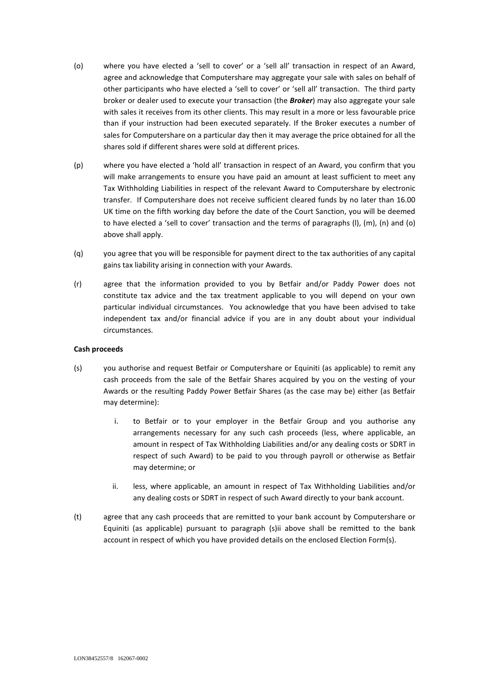- <span id="page-2-0"></span>(o) where you have elected a 'sell to cover' or a 'sell all' transaction in respect of an Award, agree and acknowledge that Computershare may aggregate your sale with sales on behalf of other participants who have elected a 'sell to cover' or 'sell all' transaction. The third party broker or dealer used to execute your transaction (the *Broker*) may also aggregate your sale with sales it receives from its other clients. This may result in a more or less favourable price than if your instruction had been executed separately. If the Broker executes a number of sales for Computershare on a particular day then it may average the price obtained for all the shares sold if different shares were sold at different prices.
- (p) where you have elected a 'hold all' transaction in respect of an Award, you confirm that you will make arrangements to ensure you have paid an amount at least sufficient to meet any Tax Withholding Liabilities in respect of the relevant Award to Computershare by electronic transfer. If Computershare does not receive sufficient cleared funds by no later than 16.00 UK time on the fifth working day before the date of the Court Sanction, you will be deemed to have elected a 'sell to cover' transaction and the terms of paragraphs [\(l\),](#page-1-1) [\(m\)](#page-1-2), [\(n\)](#page-1-3) and [\(o\)](#page-2-0) above shall apply.
- (q) you agree that you will be responsible for payment direct to the tax authorities of any capital gains tax liability arising in connection with your Awards.
- (r) agree that the information provided to you by Betfair and/or Paddy Power does not constitute tax advice and the tax treatment applicable to you will depend on your own particular individual circumstances. You acknowledge that you have been advised to take independent tax and/or financial advice if you are in any doubt about your individual circumstances.

# **Cash proceeds**

- (s) you authorise and request Betfair or Computershare or Equiniti (as applicable) to remit any cash proceeds from the sale of the Betfair Shares acquired by you on the vesting of your Awards or the resulting Paddy Power Betfair Shares (as the case may be) either (as Betfair may determine):
	- i. to Betfair or to your employer in the Betfair Group and you authorise any arrangements necessary for any such cash proceeds (less, where applicable, an amount in respect of Tax Withholding Liabilities and/or any dealing costs or SDRT in respect of such Award) to be paid to you through payroll or otherwise as Betfair may determine; or
	- ii. less, where applicable, an amount in respect of Tax Withholding Liabilities and/or any dealing costs or SDRT in respect of such Award directly to your bank account.
- <span id="page-2-1"></span>(t) agree that any cash proceeds that are remitted to your bank account by Computershare or Equiniti (as applicable) pursuant to paragraph [\(s\)ii](#page-2-1) above shall be remitted to the bank account in respect of which you have provided details on the enclosed Election Form(s).